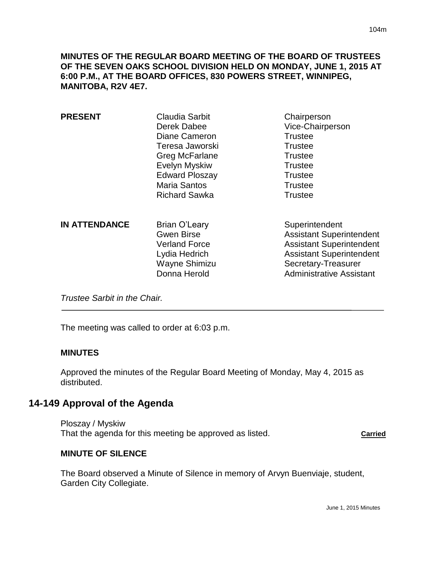**MINUTES OF THE REGULAR BOARD MEETING OF THE BOARD OF TRUSTEES OF THE SEVEN OAKS SCHOOL DIVISION HELD ON MONDAY, JUNE 1, 2015 AT 6:00 P.M., AT THE BOARD OFFICES, 830 POWERS STREET, WINNIPEG, MANITOBA, R2V 4E7.**

| <b>PRESENT</b>       | <b>Claudia Sarbit</b><br>Derek Dabee<br>Diane Cameron<br>Teresa Jaworski<br>Greg McFarlane<br>Evelyn Myskiw<br><b>Edward Ploszay</b><br><b>Maria Santos</b><br><b>Richard Sawka</b> | Chairperson<br>Vice-Chairperson<br><b>Trustee</b><br><b>Trustee</b><br><b>Trustee</b><br><b>Trustee</b><br><b>Trustee</b><br><b>Trustee</b><br><b>Trustee</b>                     |
|----------------------|-------------------------------------------------------------------------------------------------------------------------------------------------------------------------------------|-----------------------------------------------------------------------------------------------------------------------------------------------------------------------------------|
| <b>IN ATTENDANCE</b> | <b>Brian O'Leary</b><br><b>Gwen Birse</b><br><b>Verland Force</b><br>Lydia Hedrich<br>Wayne Shimizu<br>Donna Herold                                                                 | Superintendent<br><b>Assistant Superintendent</b><br><b>Assistant Superintendent</b><br><b>Assistant Superintendent</b><br>Secretary-Treasurer<br><b>Administrative Assistant</b> |

*Trustee Sarbit in the Chair.* 

The meeting was called to order at 6:03 p.m.

#### **MINUTES**

Approved the minutes of the Regular Board Meeting of Monday, May 4, 2015 as distributed.

# **14-149 Approval of the Agenda**

Ploszay / Myskiw That the agenda for this meeting be approved as listed. **Carried**

### **MINUTE OF SILENCE**

The Board observed a Minute of Silence in memory of Arvyn Buenviaje, student, Garden City Collegiate.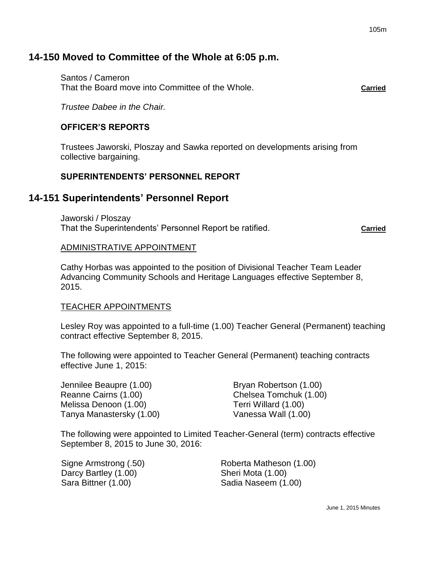# **14-150 Moved to Committee of the Whole at 6:05 p.m.**

Santos / Cameron That the Board move into Committee of the Whole. **Carried**

*Trustee Dabee in the Chair.*

### **OFFICER'S REPORTS**

Trustees Jaworski, Ploszay and Sawka reported on developments arising from collective bargaining.

## **SUPERINTENDENTS' PERSONNEL REPORT**

# **14-151 Superintendents' Personnel Report**

Jaworski / Ploszay That the Superintendents' Personnel Report be ratified. **Carried**

### ADMINISTRATIVE APPOINTMENT

Cathy Horbas was appointed to the position of Divisional Teacher Team Leader Advancing Community Schools and Heritage Languages effective September 8, 2015.

### TEACHER APPOINTMENTS

Lesley Roy was appointed to a full-time (1.00) Teacher General (Permanent) teaching contract effective September 8, 2015.

The following were appointed to Teacher General (Permanent) teaching contracts effective June 1, 2015:

Jennilee Beaupre (1.00) Bryan Robertson (1.00) Reanne Cairns (1.00) Chelsea Tomchuk (1.00) Melissa Denoon (1.00) Terri Willard (1.00) Tanya Manastersky (1.00) Vanessa Wall (1.00)

The following were appointed to Limited Teacher-General (term) contracts effective September 8, 2015 to June 30, 2016:

| Signe Armstrong (.50) |  |
|-----------------------|--|
| Darcy Bartley (1.00)  |  |
| Sara Bittner (1.00)   |  |

Roberta Matheson (1.00) Sheri Mota (1.00) Sadia Naseem (1.00)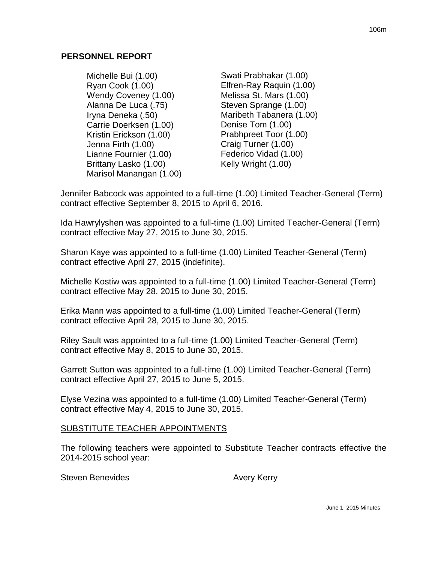### **PERSONNEL REPORT**

- Michelle Bui (1.00) Ryan Cook (1.00) Wendy Coveney (1.00) Alanna De Luca (.75) Iryna Deneka (.50) Carrie Doerksen (1.00) Kristin Erickson (1.00) Jenna Firth (1.00) Lianne Fournier (1.00) Brittany Lasko (1.00) Marisol Manangan (1.00)
- Swati Prabhakar (1.00) Elfren-Ray Raquin (1.00) Melissa St. Mars (1.00) Steven Sprange (1.00) Maribeth Tabanera (1.00) Denise Tom (1.00) Prabhpreet Toor (1.00) Craig Turner (1.00) Federico Vidad (1.00) Kelly Wright (1.00)

Jennifer Babcock was appointed to a full-time (1.00) Limited Teacher-General (Term) contract effective September 8, 2015 to April 6, 2016.

Ida Hawrylyshen was appointed to a full-time (1.00) Limited Teacher-General (Term) contract effective May 27, 2015 to June 30, 2015.

Sharon Kaye was appointed to a full-time (1.00) Limited Teacher-General (Term) contract effective April 27, 2015 (indefinite).

Michelle Kostiw was appointed to a full-time (1.00) Limited Teacher-General (Term) contract effective May 28, 2015 to June 30, 2015.

Erika Mann was appointed to a full-time (1.00) Limited Teacher-General (Term) contract effective April 28, 2015 to June 30, 2015.

Riley Sault was appointed to a full-time (1.00) Limited Teacher-General (Term) contract effective May 8, 2015 to June 30, 2015.

Garrett Sutton was appointed to a full-time (1.00) Limited Teacher-General (Term) contract effective April 27, 2015 to June 5, 2015.

Elyse Vezina was appointed to a full-time (1.00) Limited Teacher-General (Term) contract effective May 4, 2015 to June 30, 2015.

## SUBSTITUTE TEACHER APPOINTMENTS

The following teachers were appointed to Substitute Teacher contracts effective the 2014-2015 school year:

Steven Benevides **Avery Kerry**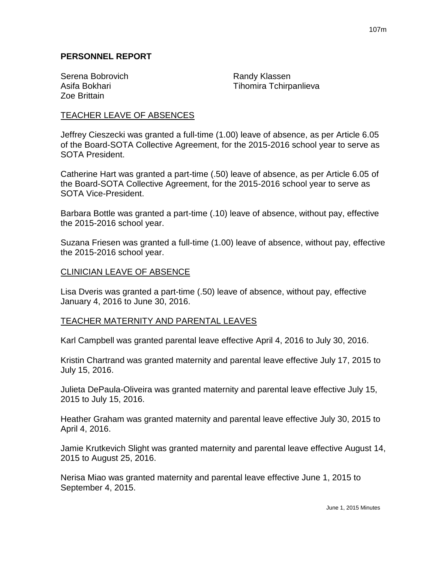### **PERSONNEL REPORT**

Serena Bobrovich **Randy Klassen** Zoe Brittain

Asifa Bokhari **Tihomira Tchirpanlieva** 

### TEACHER LEAVE OF ABSENCES

Jeffrey Cieszecki was granted a full-time (1.00) leave of absence, as per Article 6.05 of the Board-SOTA Collective Agreement, for the 2015-2016 school year to serve as SOTA President.

Catherine Hart was granted a part-time (.50) leave of absence, as per Article 6.05 of the Board-SOTA Collective Agreement, for the 2015-2016 school year to serve as SOTA Vice-President.

Barbara Bottle was granted a part-time (.10) leave of absence, without pay, effective the 2015-2016 school year.

Suzana Friesen was granted a full-time (1.00) leave of absence, without pay, effective the 2015-2016 school year.

#### CLINICIAN LEAVE OF ABSENCE

Lisa Dveris was granted a part-time (.50) leave of absence, without pay, effective January 4, 2016 to June 30, 2016.

### TEACHER MATERNITY AND PARENTAL LEAVES

Karl Campbell was granted parental leave effective April 4, 2016 to July 30, 2016.

Kristin Chartrand was granted maternity and parental leave effective July 17, 2015 to July 15, 2016.

Julieta DePaula-Oliveira was granted maternity and parental leave effective July 15, 2015 to July 15, 2016.

Heather Graham was granted maternity and parental leave effective July 30, 2015 to April 4, 2016.

Jamie Krutkevich Slight was granted maternity and parental leave effective August 14, 2015 to August 25, 2016.

Nerisa Miao was granted maternity and parental leave effective June 1, 2015 to September 4, 2015.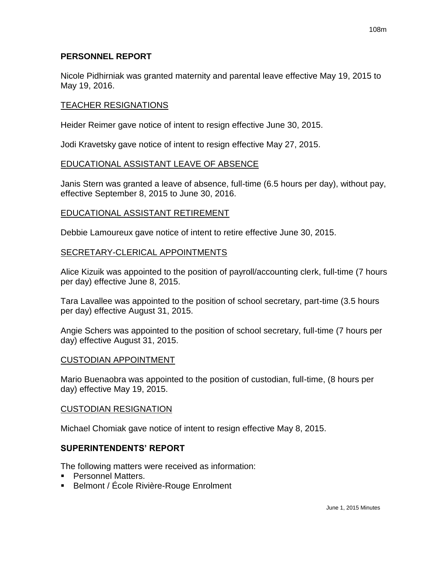### **PERSONNEL REPORT**

Nicole Pidhirniak was granted maternity and parental leave effective May 19, 2015 to May 19, 2016.

### TEACHER RESIGNATIONS

Heider Reimer gave notice of intent to resign effective June 30, 2015.

Jodi Kravetsky gave notice of intent to resign effective May 27, 2015.

### EDUCATIONAL ASSISTANT LEAVE OF ABSENCE

Janis Stern was granted a leave of absence, full-time (6.5 hours per day), without pay, effective September 8, 2015 to June 30, 2016.

### EDUCATIONAL ASSISTANT RETIREMENT

Debbie Lamoureux gave notice of intent to retire effective June 30, 2015.

### SECRETARY-CLERICAL APPOINTMENTS

Alice Kizuik was appointed to the position of payroll/accounting clerk, full-time (7 hours per day) effective June 8, 2015.

Tara Lavallee was appointed to the position of school secretary, part-time (3.5 hours per day) effective August 31, 2015.

Angie Schers was appointed to the position of school secretary, full-time (7 hours per day) effective August 31, 2015.

### CUSTODIAN APPOINTMENT

Mario Buenaobra was appointed to the position of custodian, full-time, (8 hours per day) effective May 19, 2015.

### CUSTODIAN RESIGNATION

Michael Chomiak gave notice of intent to resign effective May 8, 2015.

### **SUPERINTENDENTS' REPORT**

The following matters were received as information:

- **Personnel Matters.**
- Belmont / École Rivière-Rouge Enrolment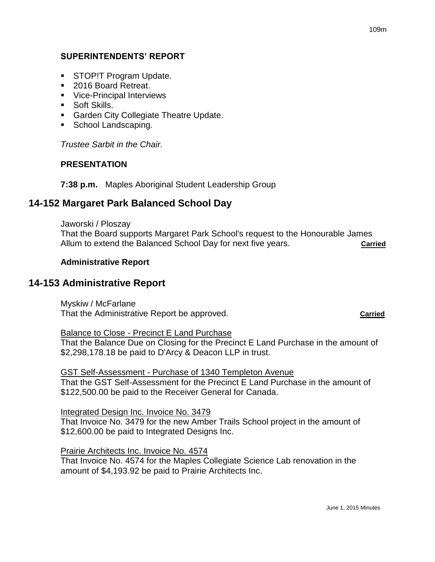## **SUPERINTENDENTS' REPORT**

- **STOP!T Program Update.**
- 2016 Board Retreat.
- **Vice-Principal Interviews**
- **Soft Skills.**
- **Garden City Collegiate Theatre Update.**
- School Landscaping.

*Trustee Sarbit in the Chair.*

### **PRESENTATION**

### **7:38 p.m.** Maples Aboriginal Student Leadership Group

# **14-152 Margaret Park Balanced School Day**

Jaworski / Ploszay

That the Board supports Margaret Park School's request to the Honourable James Allum to extend the Balanced School Day for next five years. **Carried**

### **Administrative Report**

## **14-153 Administrative Report**

Myskiw / McFarlane That the Administrative Report be approved. **Carried**

Balance to Close - Precinct E Land Purchase

That the Balance Due on Closing for the Precinct E Land Purchase in the amount of \$2,298,178.18 be paid to D'Arcy & Deacon LLP in trust.

GST Self-Assessment - Purchase of 1340 Templeton Avenue

That the GST Self-Assessment for the Precinct E Land Purchase in the amount of \$122,500.00 be paid to the Receiver General for Canada.

#### Integrated Design Inc. Invoice No. 3479

That Invoice No. 3479 for the new Amber Trails School project in the amount of \$12,600.00 be paid to Integrated Designs Inc.

### Prairie Architects Inc. Invoice No. 4574

That Invoice No. 4574 for the Maples Collegiate Science Lab renovation in the amount of \$4,193.92 be paid to Prairie Architects Inc.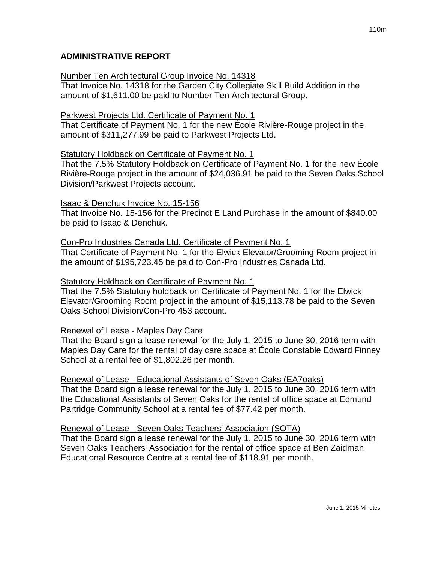## Number Ten Architectural Group Invoice No. 14318

That Invoice No. 14318 for the Garden City Collegiate Skill Build Addition in the amount of \$1,611.00 be paid to Number Ten Architectural Group.

## Parkwest Projects Ltd. Certificate of Payment No. 1

That Certificate of Payment No. 1 for the new École Rivière-Rouge project in the amount of \$311,277.99 be paid to Parkwest Projects Ltd.

## Statutory Holdback on Certificate of Payment No. 1

That the 7.5% Statutory Holdback on Certificate of Payment No. 1 for the new École Rivière-Rouge project in the amount of \$24,036.91 be paid to the Seven Oaks School Division/Parkwest Projects account.

## Isaac & Denchuk Invoice No. 15-156

That Invoice No. 15-156 for the Precinct E Land Purchase in the amount of \$840.00 be paid to Isaac & Denchuk.

## Con-Pro Industries Canada Ltd. Certificate of Payment No. 1

That Certificate of Payment No. 1 for the Elwick Elevator/Grooming Room project in the amount of \$195,723.45 be paid to Con-Pro Industries Canada Ltd.

## Statutory Holdback on Certificate of Payment No. 1

That the 7.5% Statutory holdback on Certificate of Payment No. 1 for the Elwick Elevator/Grooming Room project in the amount of \$15,113.78 be paid to the Seven Oaks School Division/Con-Pro 453 account.

# Renewal of Lease - Maples Day Care

That the Board sign a lease renewal for the July 1, 2015 to June 30, 2016 term with Maples Day Care for the rental of day care space at École Constable Edward Finney School at a rental fee of \$1,802.26 per month.

Renewal of Lease - Educational Assistants of Seven Oaks (EA7oaks) That the Board sign a lease renewal for the July 1, 2015 to June 30, 2016 term with the Educational Assistants of Seven Oaks for the rental of office space at Edmund Partridge Community School at a rental fee of \$77.42 per month.

# Renewal of Lease - Seven Oaks Teachers' Association (SOTA)

That the Board sign a lease renewal for the July 1, 2015 to June 30, 2016 term with Seven Oaks Teachers' Association for the rental of office space at Ben Zaidman Educational Resource Centre at a rental fee of \$118.91 per month.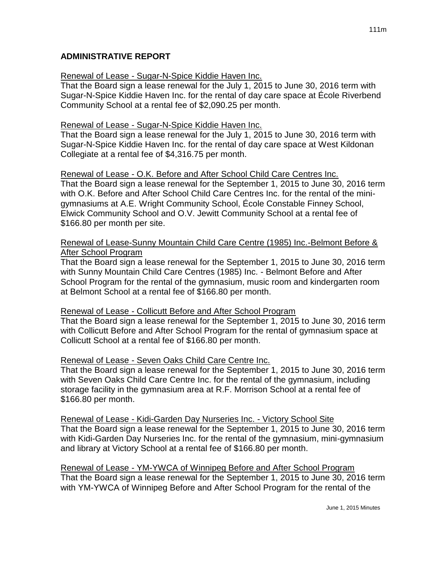## **ADMINISTRATIVE REPORT**

### Renewal of Lease - Sugar-N-Spice Kiddie Haven Inc.

That the Board sign a lease renewal for the July 1, 2015 to June 30, 2016 term with Sugar-N-Spice Kiddie Haven Inc. for the rental of day care space at École Riverbend Community School at a rental fee of \$2,090.25 per month.

#### Renewal of Lease - Sugar-N-Spice Kiddie Haven Inc.

That the Board sign a lease renewal for the July 1, 2015 to June 30, 2016 term with Sugar-N-Spice Kiddie Haven Inc. for the rental of day care space at West Kildonan Collegiate at a rental fee of \$4,316.75 per month.

#### Renewal of Lease - O.K. Before and After School Child Care Centres Inc.

That the Board sign a lease renewal for the September 1, 2015 to June 30, 2016 term with O.K. Before and After School Child Care Centres Inc. for the rental of the minigymnasiums at A.E. Wright Community School, École Constable Finney School, Elwick Community School and O.V. Jewitt Community School at a rental fee of \$166.80 per month per site.

### Renewal of Lease-Sunny Mountain Child Care Centre (1985) Inc.-Belmont Before & After School Program

That the Board sign a lease renewal for the September 1, 2015 to June 30, 2016 term with Sunny Mountain Child Care Centres (1985) Inc. - Belmont Before and After School Program for the rental of the gymnasium, music room and kindergarten room at Belmont School at a rental fee of \$166.80 per month.

### Renewal of Lease - Collicutt Before and After School Program

That the Board sign a lease renewal for the September 1, 2015 to June 30, 2016 term with Collicutt Before and After School Program for the rental of gymnasium space at Collicutt School at a rental fee of \$166.80 per month.

### Renewal of Lease - Seven Oaks Child Care Centre Inc.

That the Board sign a lease renewal for the September 1, 2015 to June 30, 2016 term with Seven Oaks Child Care Centre Inc. for the rental of the gymnasium, including storage facility in the gymnasium area at R.F. Morrison School at a rental fee of \$166.80 per month.

Renewal of Lease - Kidi-Garden Day Nurseries Inc. - Victory School Site That the Board sign a lease renewal for the September 1, 2015 to June 30, 2016 term with Kidi-Garden Day Nurseries Inc. for the rental of the gymnasium, mini-gymnasium and library at Victory School at a rental fee of \$166.80 per month.

Renewal of Lease - YM-YWCA of Winnipeg Before and After School Program That the Board sign a lease renewal for the September 1, 2015 to June 30, 2016 term with YM-YWCA of Winnipeg Before and After School Program for the rental of the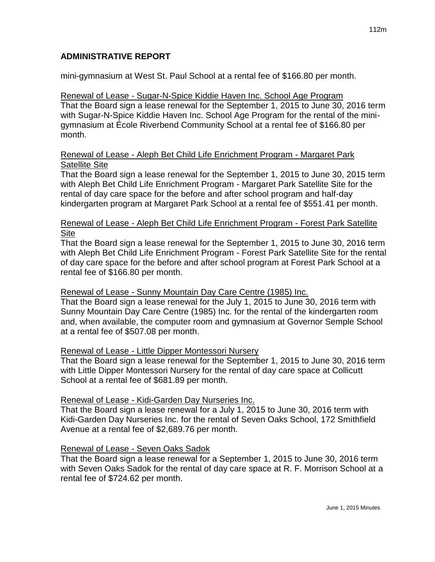## **ADMINISTRATIVE REPORT**

mini-gymnasium at West St. Paul School at a rental fee of \$166.80 per month.

### Renewal of Lease - Sugar-N-Spice Kiddie Haven Inc. School Age Program That the Board sign a lease renewal for the September 1, 2015 to June 30, 2016 term with Sugar-N-Spice Kiddie Haven Inc. School Age Program for the rental of the minigymnasium at École Riverbend Community School at a rental fee of \$166.80 per month.

## Renewal of Lease - Aleph Bet Child Life Enrichment Program - Margaret Park Satellite Site

That the Board sign a lease renewal for the September 1, 2015 to June 30, 2015 term with Aleph Bet Child Life Enrichment Program - Margaret Park Satellite Site for the rental of day care space for the before and after school program and half-day kindergarten program at Margaret Park School at a rental fee of \$551.41 per month.

## Renewal of Lease - Aleph Bet Child Life Enrichment Program - Forest Park Satellite Site

That the Board sign a lease renewal for the September 1, 2015 to June 30, 2016 term with Aleph Bet Child Life Enrichment Program - Forest Park Satellite Site for the rental of day care space for the before and after school program at Forest Park School at a rental fee of \$166.80 per month.

## Renewal of Lease - Sunny Mountain Day Care Centre (1985) Inc.

That the Board sign a lease renewal for the July 1, 2015 to June 30, 2016 term with Sunny Mountain Day Care Centre (1985) Inc. for the rental of the kindergarten room and, when available, the computer room and gymnasium at Governor Semple School at a rental fee of \$507.08 per month.

## Renewal of Lease - Little Dipper Montessori Nursery

That the Board sign a lease renewal for the September 1, 2015 to June 30, 2016 term with Little Dipper Montessori Nursery for the rental of day care space at Collicutt School at a rental fee of \$681.89 per month.

## Renewal of Lease - Kidi-Garden Day Nurseries Inc.

That the Board sign a lease renewal for a July 1, 2015 to June 30, 2016 term with Kidi-Garden Day Nurseries Inc. for the rental of Seven Oaks School, 172 Smithfield Avenue at a rental fee of \$2,689.76 per month.

## Renewal of Lease - Seven Oaks Sadok

That the Board sign a lease renewal for a September 1, 2015 to June 30, 2016 term with Seven Oaks Sadok for the rental of day care space at R. F. Morrison School at a rental fee of \$724.62 per month.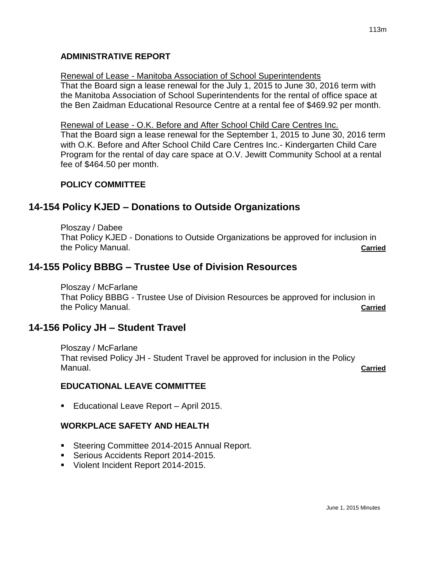### **ADMINISTRATIVE REPORT**

#### Renewal of Lease - Manitoba Association of School Superintendents

That the Board sign a lease renewal for the July 1, 2015 to June 30, 2016 term with the Manitoba Association of School Superintendents for the rental of office space at the Ben Zaidman Educational Resource Centre at a rental fee of \$469.92 per month.

#### Renewal of Lease - O.K. Before and After School Child Care Centres Inc.

That the Board sign a lease renewal for the September 1, 2015 to June 30, 2016 term with O.K. Before and After School Child Care Centres Inc.- Kindergarten Child Care Program for the rental of day care space at O.V. Jewitt Community School at a rental fee of \$464.50 per month.

## **POLICY COMMITTEE**

# **14-154 Policy KJED – Donations to Outside Organizations**

Ploszay / Dabee That Policy KJED - Donations to Outside Organizations be approved for inclusion in the Policy Manual. **Carried**

# **14-155 Policy BBBG – Trustee Use of Division Resources**

Ploszay / McFarlane That Policy BBBG - Trustee Use of Division Resources be approved for inclusion in the Policy Manual. **Carried**

# **14-156 Policy JH – Student Travel**

Ploszay / McFarlane That revised Policy JH - Student Travel be approved for inclusion in the Policy Manual. **Carried**

## **EDUCATIONAL LEAVE COMMITTEE**

**Educational Leave Report - April 2015.** 

## **WORKPLACE SAFETY AND HEALTH**

- **Steering Committee 2014-2015 Annual Report.**
- Serious Accidents Report 2014-2015.
- Violent Incident Report 2014-2015.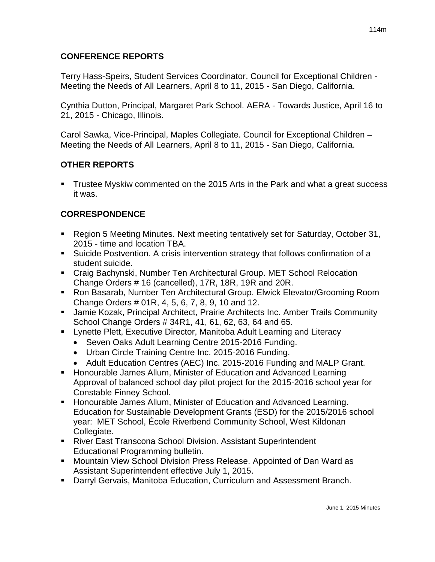## **CONFERENCE REPORTS**

Terry Hass-Speirs, Student Services Coordinator. Council for Exceptional Children - Meeting the Needs of All Learners, April 8 to 11, 2015 - San Diego, California.

Cynthia Dutton, Principal, Margaret Park School. AERA - Towards Justice, April 16 to 21, 2015 - Chicago, Illinois.

Carol Sawka, Vice-Principal, Maples Collegiate. Council for Exceptional Children – Meeting the Needs of All Learners, April 8 to 11, 2015 - San Diego, California.

## **OTHER REPORTS**

 Trustee Myskiw commented on the 2015 Arts in the Park and what a great success it was.

# **CORRESPONDENCE**

- Region 5 Meeting Minutes. Next meeting tentatively set for Saturday, October 31, 2015 - time and location TBA.
- Suicide Postvention. A crisis intervention strategy that follows confirmation of a student suicide.
- Craig Bachynski, Number Ten Architectural Group. MET School Relocation Change Orders # 16 (cancelled), 17R, 18R, 19R and 20R.
- Ron Basarab, Number Ten Architectural Group. Elwick Elevator/Grooming Room Change Orders # 01R, 4, 5, 6, 7, 8, 9, 10 and 12.
- Jamie Kozak, Principal Architect, Prairie Architects Inc. Amber Trails Community School Change Orders # 34R1, 41, 61, 62, 63, 64 and 65.
- Lynette Plett, Executive Director, Manitoba Adult Learning and Literacy
	- Seven Oaks Adult Learning Centre 2015-2016 Funding.
	- Urban Circle Training Centre Inc. 2015-2016 Funding.
	- Adult Education Centres (AEC) Inc. 2015-2016 Funding and MALP Grant.
- **Honourable James Allum, Minister of Education and Advanced Learning** Approval of balanced school day pilot project for the 2015-2016 school year for Constable Finney School.
- **Honourable James Allum, Minister of Education and Advanced Learning.** Education for Sustainable Development Grants (ESD) for the 2015/2016 school year: MET School, École Riverbend Community School, West Kildonan Collegiate.
- River East Transcona School Division. Assistant Superintendent Educational Programming bulletin.
- **Mountain View School Division Press Release. Appointed of Dan Ward as** Assistant Superintendent effective July 1, 2015.
- Darryl Gervais, Manitoba Education, Curriculum and Assessment Branch.